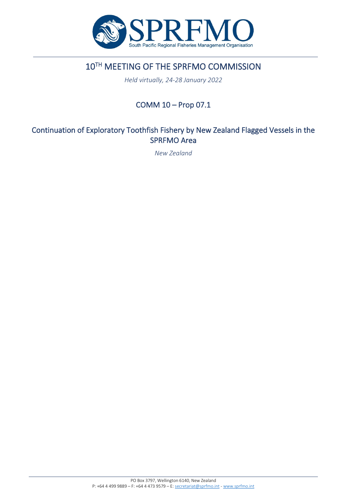

## 10TH MEETING OF THE SPRFMO COMMISSION

*Held virtually, 24-28 January 2022*

## COMM 10 – Prop 07.1

### Continuation of Exploratory Toothfish Fishery by New Zealand Flagged Vessels in the SPRFMO Area

*New Zealand*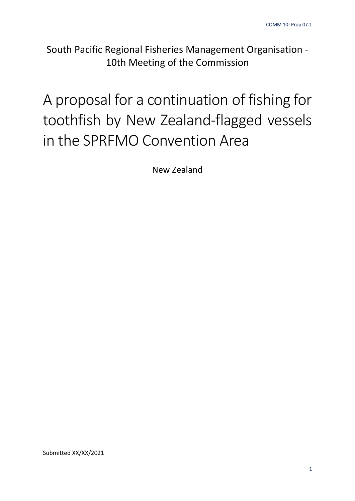South Pacific Regional Fisheries Management Organisation - 10th Meeting of the Commission

# A proposal for a continuation of fishing for toothfish by New Zealand-flagged vessels in the SPRFMO Convention Area

New Zealand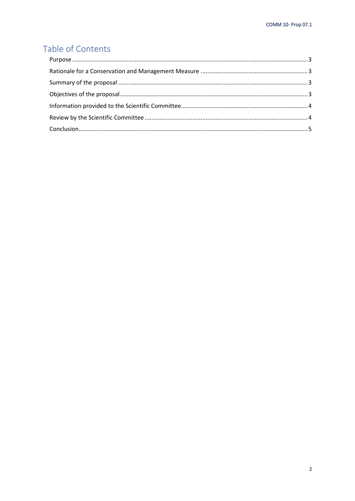## Table of Contents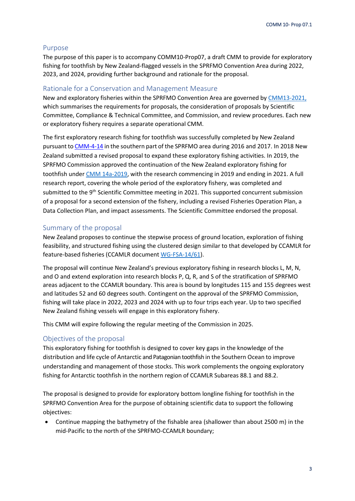#### <span id="page-3-0"></span>Purpose

The purpose of this paper is to accompany COMM10-Prop07, a draft CMM to provide for exploratory fishing for toothfish by New Zealand-flagged vessels in the SPRFMO Convention Area during 2022, 2023, and 2024, providing further background and rationale for the proposal.

#### <span id="page-3-1"></span>Rationale for a Conservation and Management Measure

New and exploratory fisheries within the SPRFMO Convention Area are governed by [CMM13-2021,](https://www.sprfmo.int/assets/Fisheries/Conservation-and-Management-Measures/2021-CMMs/CMM-13-2021-Exploratory-Fisheries-12Mar2021.pdf) which summarises the requirements for proposals, the consideration of proposals by Scientific Committee, Compliance & Technical Committee, and Commission, and review procedures. Each new or exploratory fishery requires a separate operational CMM.

The first exploratory research fishing for toothfish was successfully completed by New Zealand pursuant to [CMM-4-14](http://www.sprfmo.int/assets/Fisheries/Conservation-and-Management-Measures/CMM-4.14-Exploratory-Toothfish-Fishing-2016-4Mar2016.pdf) in the southern part of the SPRFMO area during 2016 and 2017. In 2018 New Zealand submitted a revised proposal to expand these exploratory fishing activities. In 2019, the SPRFMO Commission approved the continuation of the New Zealand exploratory fishing for toothfish under CMM [14a-2019,](http://www.sprfmo.int/assets/Fisheries/Conservation-and-Management-Measures/2020-CMMs/CMM-14a-2019-Exploratory-Toothfish-NZ-31Mar20.pdf) with the research commencing in 2019 and ending in 2021. A full research report, covering the whole period of the exploratory fishery, was completed and submitted to the 9<sup>th</sup> Scientific Committee meeting in 2021. This supported concurrent submission of a proposal for a second extension of the fishery, including a revised Fisheries Operation Plan, a Data Collection Plan, and impact assessments. The Scientific Committee endorsed the proposal.

#### <span id="page-3-2"></span>Summary of the proposal

New Zealand proposes to continue the stepwise process of ground location, exploration of fishing feasibility, and structured fishing using the clustered design similar to that developed by CCAMLR for feature-based fisheries (CCAMLR document [WG-FSA-14/61\)](https://www.ccamlr.org/fr/wg-fsa-14/61).

The proposal will continue New Zealand's previous exploratory fishing in research blocks L, M, N, and O and extend exploration into research blocks P, Q, R, and S of the stratification of SPRFMO areas adjacent to the CCAMLR boundary. This area is bound by longitudes 115 and 155 degrees west and latitudes 52 and 60 degrees south. Contingent on the approval of the SPRFMO Commission, fishing will take place in 2022, 2023 and 2024 with up to four trips each year. Up to two specified New Zealand fishing vessels will engage in this exploratory fishery.

This CMM will expire following the regular meeting of the Commission in 2025.

#### <span id="page-3-3"></span>Objectives of the proposal

This exploratory fishing for toothfish is designed to cover key gaps in the knowledge of the distribution and life cycle of Antarctic and Patagonian toothfish in the Southern Ocean to improve understanding and management of those stocks. This work complements the ongoing exploratory fishing for Antarctic toothfish in the northern region of CCAMLR Subareas 88.1 and 88.2.

The proposal is designed to provide for exploratory bottom longline fishing for toothfish in the SPRFMO Convention Area for the purpose of obtaining scientific data to support the following objectives:

• Continue mapping the bathymetry of the fishable area (shallower than about 2500 m) in the mid-Pacific to the north of the SPRFMO-CCAMLR boundary;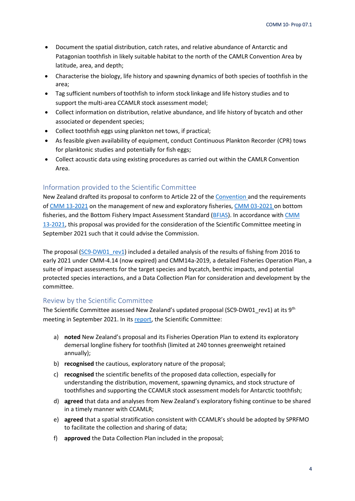- Document the spatial distribution, catch rates, and relative abundance of Antarctic and Patagonian toothfish in likely suitable habitat to the north of the CAMLR Convention Area by latitude, area, and depth;
- Characterise the biology, life history and spawning dynamics of both species of toothfish in the area;
- Tag sufficient numbers of toothfish to inform stock linkage and life history studies and to support the multi-area CCAMLR stock assessment model;
- Collect information on distribution, relative abundance, and life history of bycatch and other associated or dependent species;
- Collect toothfish eggs using plankton net tows, if practical;
- As feasible given availability of equipment, conduct Continuous Plankton Recorder (CPR) tows for planktonic studies and potentially for fish eggs;
- Collect acoustic data using existing procedures as carried out within the CAMLR Convention Area.

#### <span id="page-4-0"></span>Information provided to the Scientific Committee

New Zealand drafted its proposal to conform to Article 22 of th[e Convention a](http://www.sprfmo.int/assets/Basic-Documents/Convention-web-12-Feb-2018.pdf)nd the requirements of CMM [13-2021](http://www.sprfmo.int/assets/Fisheries/Conservation-and-Management-Measures/2021-CMMs/CMM-13-2021-Exploratory-Fisheries-12Mar2021.pdf) on the management of new and exploratory fisheries, CMM [03-2021](http://www.sprfmo.int/assets/Fisheries/Conservation-and-Management-Measures/2021-CMMs/CMM-03-2021-Bottom-Fishing-12Mar2021.pdf) on bottom fisheries, and the Bottom Fishery Impact Assessment Standard [\(BFIAS\)](http://www.sprfmo.int/assets/Fisheries/Science/SPRFMO-Bottom-Fishery-Impact-Assessment-Standard-2019.pdf). In accordance with [CMM](http://www.sprfmo.int/assets/Fisheries/Conservation-and-Management-Measures/2021-CMMs/CMM-13-2021-Exploratory-Fisheries-12Mar2021.pdf) [13-2021,](http://www.sprfmo.int/assets/Fisheries/Conservation-and-Management-Measures/2021-CMMs/CMM-13-2021-Exploratory-Fisheries-12Mar2021.pdf) this proposal was provided for the consideration of the Scientific Committee meeting in September 2021 such that it could advise the Commission.

The proposal (SC9-DW01 rev1) included a detailed analysis of the results of fishing from 2016 to early 2021 under CMM-4.14 (now expired) and CMM14a-2019, a detailed Fisheries Operation Plan, a suite of impact assessments for the target species and bycatch, benthic impacts, and potential protected species interactions, and a Data Collection Plan for consideration and development by the committee.

#### <span id="page-4-1"></span>Review by the Scientific Committee

The Scientific Committee assessed New Zealand's updated proposal (SC9-DW01 rev1) at its 9<sup>th</sup> meeting in September 2021. In it[s report,](https://www.sprfmo.int/assets/2021-SC9/Report/SC9-Report-Final.pdf) the Scientific Committee:

- a) **noted** New Zealand's proposal and its Fisheries Operation Plan to extend its exploratory demersal longline fishery for toothfish (limited at 240 tonnes greenweight retained annually);
- b) **recognised** the cautious, exploratory nature of the proposal;
- c) **recognised** the scientific benefits of the proposed data collection, especially for understanding the distribution, movement, spawning dynamics, and stock structure of toothfishes and supporting the CCAMLR stock assessment models for Antarctic toothfish;
- d) **agreed** that data and analyses from New Zealand's exploratory fishing continue to be shared in a timely manner with CCAMLR;
- e) **agreed** that a spatial stratification consistent with CCAMLR's should be adopted by SPRFMO to facilitate the collection and sharing of data;
- f) **approved** the Data Collection Plan included in the proposal;